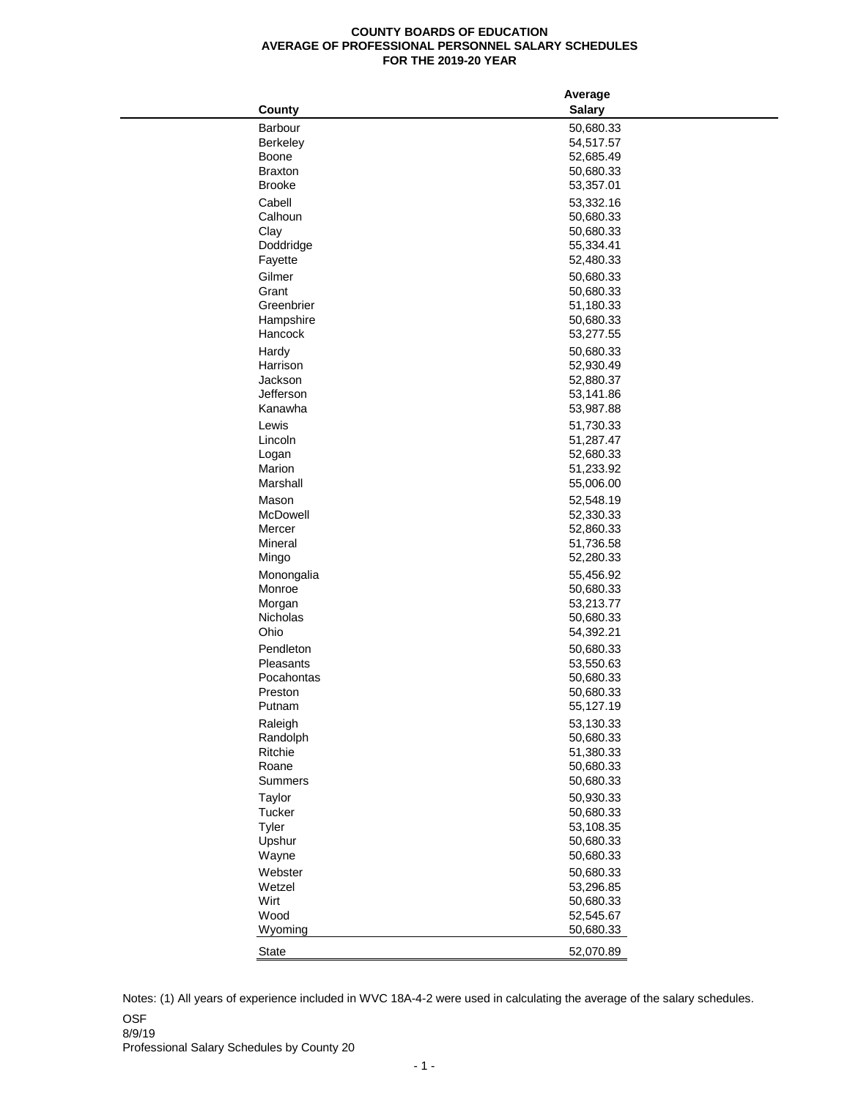## **COUNTY BOARDS OF EDUCATION AVERAGE OF PROFESSIONAL PERSONNEL SALARY SCHEDULES FOR THE 2019-20 YEAR**

|                         | Average                |  |
|-------------------------|------------------------|--|
| <b>County</b>           | <b>Salary</b>          |  |
| Barbour                 | 50,680.33              |  |
| <b>Berkeley</b>         | 54,517.57              |  |
| <b>Boone</b>            | 52,685.49              |  |
| <b>Braxton</b>          | 50,680.33              |  |
| <b>Brooke</b>           | 53,357.01              |  |
| Cabell                  | 53,332.16              |  |
| Calhoun                 | 50,680.33              |  |
| Clay                    | 50,680.33              |  |
| Doddridge               | 55,334.41              |  |
| Fayette                 | 52,480.33              |  |
| Gilmer                  | 50,680.33              |  |
| Grant                   | 50,680.33              |  |
| Greenbrier              | 51,180.33              |  |
| Hampshire               | 50,680.33              |  |
| Hancock                 | 53,277.55              |  |
| Hardy                   | 50,680.33              |  |
| Harrison                | 52,930.49              |  |
| Jackson                 | 52,880.37              |  |
| Jefferson               | 53,141.86              |  |
| Kanawha                 | 53,987.88              |  |
| Lewis                   | 51,730.33              |  |
| Lincoln                 | 51,287.47              |  |
| Logan                   | 52,680.33              |  |
| Marion                  | 51,233.92              |  |
| Marshall                | 55,006.00              |  |
| Mason                   |                        |  |
| <b>McDowell</b>         | 52,548.19<br>52,330.33 |  |
| Mercer                  | 52,860.33              |  |
| Mineral                 | 51,736.58              |  |
| Mingo                   | 52,280.33              |  |
|                         |                        |  |
| Monongalia<br>Monroe    | 55,456.92<br>50,680.33 |  |
| Morgan                  | 53,213.77              |  |
| Nicholas                | 50,680.33              |  |
| Ohio                    | 54,392.21              |  |
|                         |                        |  |
| Pendleton               | 50,680.33              |  |
| Pleasants<br>Pocahontas | 53,550.63              |  |
| Preston                 | 50,680.33              |  |
| Putnam                  | 50,680.33<br>55,127.19 |  |
|                         |                        |  |
| Raleigh                 | 53,130.33              |  |
| Randolph                | 50,680.33              |  |
| Ritchie                 | 51,380.33              |  |
| Roane                   | 50,680.33              |  |
| <b>Summers</b>          | 50,680.33              |  |
| Taylor                  | 50,930.33              |  |
| <b>Tucker</b>           | 50,680.33              |  |
| <b>Tyler</b>            | 53,108.35              |  |
| Upshur                  | 50,680.33              |  |
| Wayne                   | 50,680.33              |  |
| Webster                 | 50,680.33              |  |
| Wetzel                  | 53,296.85              |  |
| Wirt                    | 50,680.33              |  |
| Wood                    | 52,545.67              |  |
| Wyoming                 | 50,680.33              |  |
| <b>State</b>            | 52,070.89              |  |
|                         |                        |  |

OSF 8/9/19 Notes: (1) All years of experience included in WVC 18A-4-2 were used in calculating the average of the salary schedules.

Professional Salary Schedules by County 20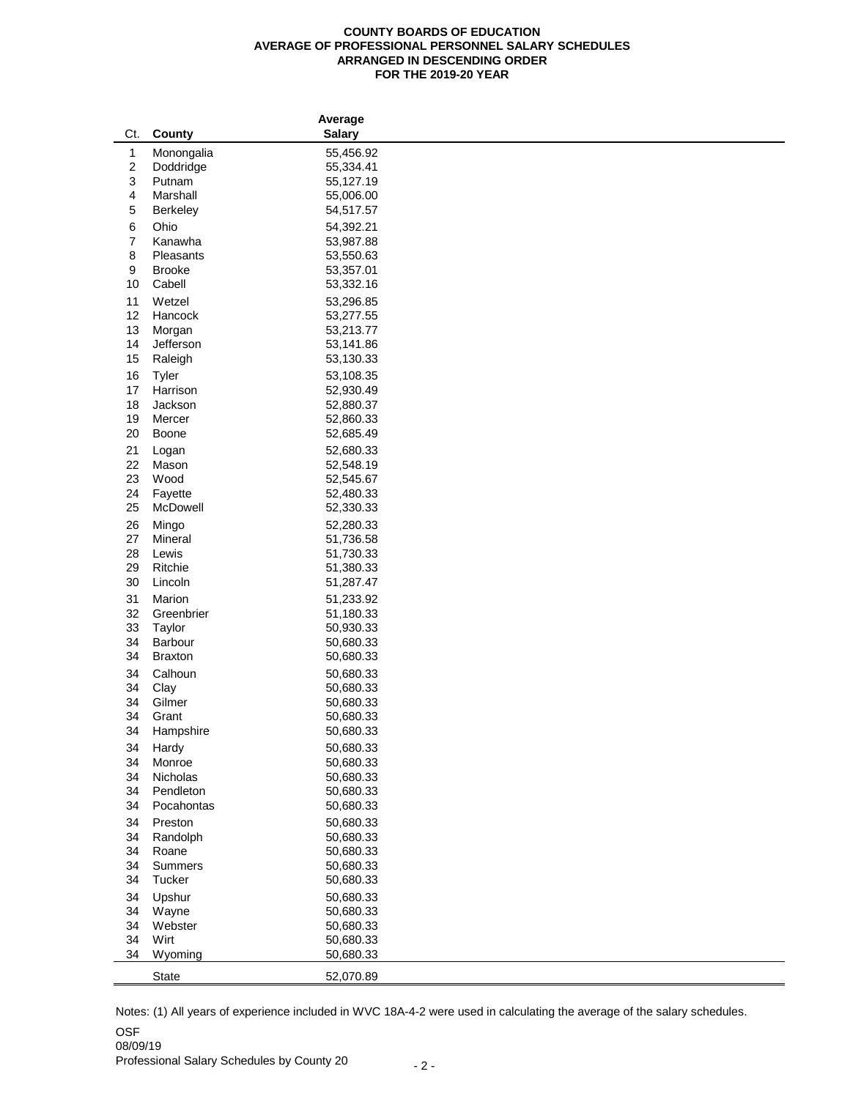## **COUNTY BOARDS OF EDUCATION AVERAGE OF PROFESSIONAL PERSONNEL SALARY SCHEDULES ARRANGED IN DESCENDING ORDER FOR THE 2019-20 YEAR**

|          |                                 | <b>Average</b>         |  |
|----------|---------------------------------|------------------------|--|
| Ct.      | <b>County</b>                   | <b>Salary</b>          |  |
| 1        | Monongalia                      | 55,456.92              |  |
| 2        | Doddridge                       | 55,334.41              |  |
| 3        | Putnam                          | 55,127.19              |  |
| 4        | Marshall                        | 55,006.00              |  |
| 5        | <b>Berkeley</b>                 | 54,517.57              |  |
| 6        | Ohio                            | 54,392.21              |  |
| 7        | Kanawha                         | 53,987.88              |  |
| 8        | Pleasants                       | 53,550.63              |  |
| 9        | <b>Brooke</b>                   | 53,357.01              |  |
| 10       | Cabell                          | 53,332.16              |  |
| 11       | Wetzel                          | 53,296.85              |  |
| 12       | Hancock                         | 53,277.55              |  |
| 13       | Morgan                          | 53,213.77              |  |
| 14       | Jefferson                       | 53,141.86              |  |
| 15       | Raleigh                         | 53,130.33              |  |
| 16       | <b>Tyler</b>                    | 53,108.35              |  |
| 17       | Harrison                        | 52,930.49              |  |
| 18       | Jackson                         | 52,880.37              |  |
| 19       | Mercer                          | 52,860.33              |  |
| 20       | <b>Boone</b>                    | 52,685.49              |  |
| 21       | Logan                           | 52,680.33              |  |
| 22       | Mason                           | 52,548.19              |  |
| 23       | Wood                            | 52,545.67              |  |
| 24       | Fayette                         | 52,480.33              |  |
| 25       | McDowell                        | 52,330.33              |  |
| 26       | Mingo                           | 52,280.33              |  |
| 27       | <b>Mineral</b>                  | 51,736.58              |  |
| 28       | Lewis                           | 51,730.33              |  |
| 29       | Ritchie                         | 51,380.33              |  |
| 30       | Lincoln                         | 51,287.47              |  |
| 31       | Marion                          | 51,233.92              |  |
| 32       | Greenbrier                      | 51,180.33              |  |
| 33       | Taylor                          | 50,930.33              |  |
| 34       | <b>Barbour</b>                  | 50,680.33              |  |
| 34       | <b>Braxton</b>                  | 50,680.33              |  |
| 34       | Calhoun                         | 50,680.33              |  |
| 34       | Clay                            | 50,680.33              |  |
| 34       | Gilmer                          | 50,680.33              |  |
| 34       | Grant                           | 50,680.33              |  |
| 34       | Hampshire                       | 50,680.33              |  |
| 34       | Hardy                           | 50,680.33              |  |
| 34       | Monroe                          | 50,680.33              |  |
| 34       | Nicholas                        | 50,680.33              |  |
| 34       | Pendleton                       | 50,680.33              |  |
| 34       | Pocahontas                      | 50,680.33              |  |
| 34       | Preston                         | 50,680.33              |  |
| 34       | Randolph                        | 50,680.33              |  |
| 34       | Roane                           | 50,680.33              |  |
| 34<br>34 | <b>Summers</b><br><b>Tucker</b> | 50,680.33<br>50,680.33 |  |
|          |                                 |                        |  |
| 34       | Upshur                          | 50,680.33              |  |
| 34       | Wayne                           | 50,680.33              |  |
| 34<br>34 | Webster<br>Wirt                 | 50,680.33<br>50,680.33 |  |
| 34       | Wyoming                         | 50,680.33              |  |
|          |                                 |                        |  |
|          | <b>State</b>                    | 52,070.89              |  |

OSF Notes: (1) All years of experience included in WVC 18A-4-2 were used in calculating the average of the salary schedules.